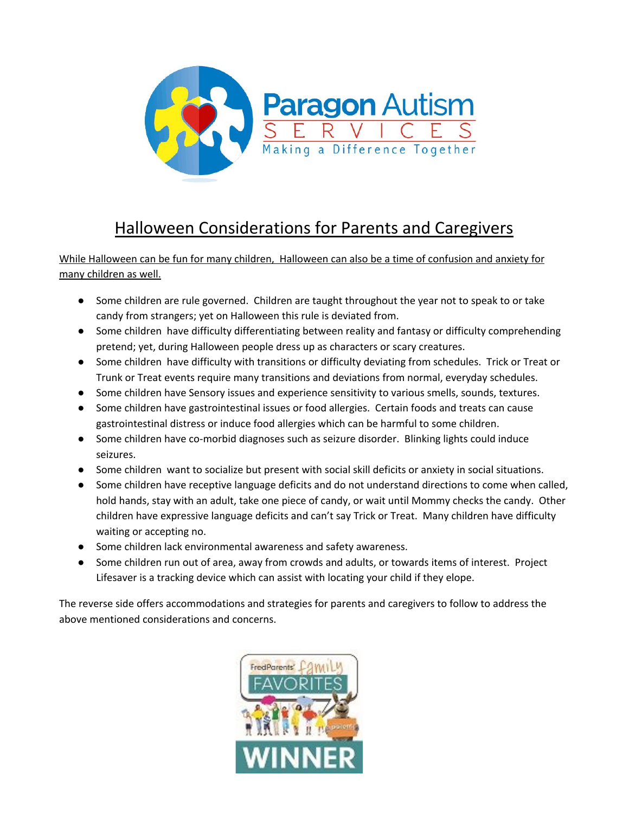

## Halloween Considerations for Parents and Caregivers

While Halloween can be fun for many children, Halloween can also be a time of confusion and anxiety for many children as well.

- Some children are rule governed. Children are taught throughout the year not to speak to or take candy from strangers; yet on Halloween this rule is deviated from.
- Some children have difficulty differentiating between reality and fantasy or difficulty comprehending pretend; yet, during Halloween people dress up as characters or scary creatures.
- Some children have difficulty with transitions or difficulty deviating from schedules. Trick or Treat or Trunk or Treat events require many transitions and deviations from normal, everyday schedules.
- Some children have Sensory issues and experience sensitivity to various smells, sounds, textures.
- Some children have gastrointestinal issues or food allergies. Certain foods and treats can cause gastrointestinal distress or induce food allergies which can be harmful to some children.
- Some children have co-morbid diagnoses such as seizure disorder. Blinking lights could induce seizures.
- Some children want to socialize but present with social skill deficits or anxiety in social situations.
- Some children have receptive language deficits and do not understand directions to come when called, hold hands, stay with an adult, take one piece of candy, or wait until Mommy checks the candy. Other children have expressive language deficits and can't say Trick or Treat. Many children have difficulty waiting or accepting no.
- Some children lack environmental awareness and safety awareness.
- Some children run out of area, away from crowds and adults, or towards items of interest. Project Lifesaver is a tracking device which can assist with locating your child if they elope.

The reverse side offers accommodations and strategies for parents and caregivers to follow to address the above mentioned considerations and concerns.